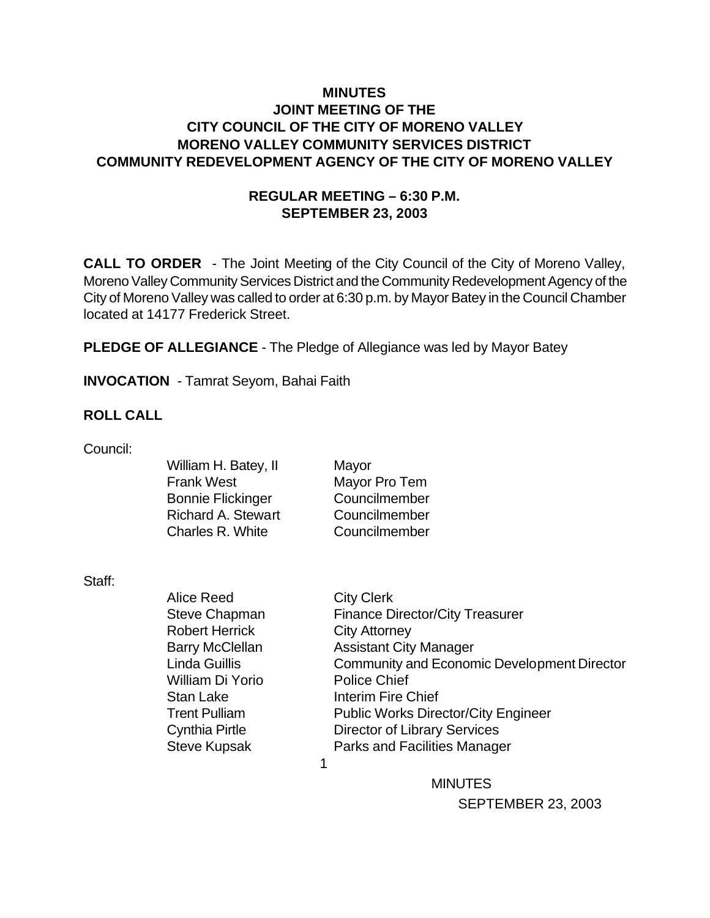# **MINUTES JOINT MEETING OF THE CITY COUNCIL OF THE CITY OF MORENO VALLEY MORENO VALLEY COMMUNITY SERVICES DISTRICT COMMUNITY REDEVELOPMENT AGENCY OF THE CITY OF MORENO VALLEY**

# **REGULAR MEETING – 6:30 P.M. SEPTEMBER 23, 2003**

**CALL TO ORDER** - The Joint Meeting of the City Council of the City of Moreno Valley, Moreno Valley Community Services District and the Community Redevelopment Agency of the City of Moreno Valley was called to order at 6:30 p.m. by Mayor Batey in the Council Chamber located at 14177 Frederick Street.

**PLEDGE OF ALLEGIANCE** - The Pledge of Allegiance was led by Mayor Batey

**INVOCATION** - Tamrat Seyom, Bahai Faith

### **ROLL CALL**

Council:

| William H. Batey, II      |
|---------------------------|
| <b>Frank West</b>         |
| <b>Bonnie Flickinger</b>  |
| <b>Richard A. Stewart</b> |
| Charles R. White          |
|                           |

**Mayor** Mayor Pro Tem Councilmember Councilmember Councilmember

Staff:

Alice Reed City Clerk Robert Herrick City Attorney William Di Yorio Police Chief Stan Lake Interim Fire Chief

Steve Chapman Finance Director/City Treasurer Barry McClellan Assistant City Manager Linda Guillis Community and Economic Development Director Trent Pulliam Public Works Director/City Engineer Cynthia Pirtle Director of Library Services Steve Kupsak **Parks and Facilities Manager** 

 $\sim$  1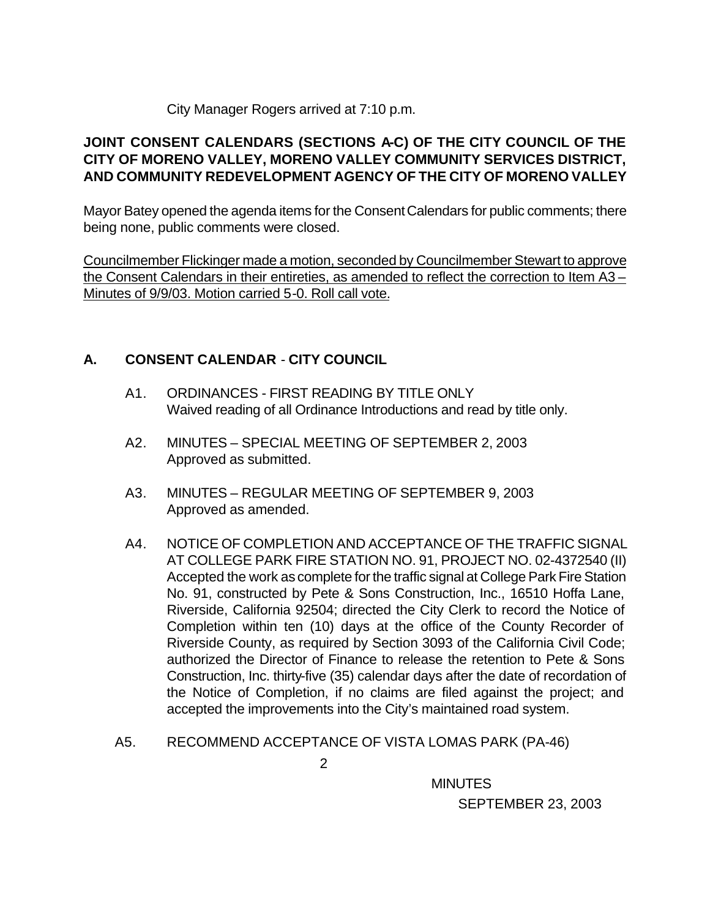### City Manager Rogers arrived at 7:10 p.m.

# **JOINT CONSENT CALENDARS (SECTIONS A-C) OF THE CITY COUNCIL OF THE CITY OF MORENO VALLEY, MORENO VALLEY COMMUNITY SERVICES DISTRICT, AND COMMUNITY REDEVELOPMENT AGENCY OF THE CITY OF MORENO VALLEY**

Mayor Batey opened the agenda items for the Consent Calendars for public comments; there being none, public comments were closed.

Councilmember Flickinger made a motion, seconded by Councilmember Stewart to approve the Consent Calendars in their entireties, as amended to reflect the correction to Item A3 – Minutes of 9/9/03. Motion carried 5-0. Roll call vote.

# **A. CONSENT CALENDAR** - **CITY COUNCIL**

- A1. ORDINANCES FIRST READING BY TITLE ONLY Waived reading of all Ordinance Introductions and read by title only.
- A2. MINUTES SPECIAL MEETING OF SEPTEMBER 2, 2003 Approved as submitted.
- A3. MINUTES REGULAR MEETING OF SEPTEMBER 9, 2003 Approved as amended.
- A4. NOTICE OF COMPLETION AND ACCEPTANCE OF THE TRAFFIC SIGNAL AT COLLEGE PARK FIRE STATION NO. 91, PROJECT NO. 02-4372540 (II) Accepted the work as complete for the traffic signal at College Park Fire Station No. 91, constructed by Pete & Sons Construction, Inc., 16510 Hoffa Lane, Riverside, California 92504; directed the City Clerk to record the Notice of Completion within ten (10) days at the office of the County Recorder of Riverside County, as required by Section 3093 of the California Civil Code; authorized the Director of Finance to release the retention to Pete & Sons Construction, Inc. thirty-five (35) calendar days after the date of recordation of the Notice of Completion, if no claims are filed against the project; and accepted the improvements into the City's maintained road system.
- A5. RECOMMEND ACCEPTANCE OF VISTA LOMAS PARK (PA-46)

2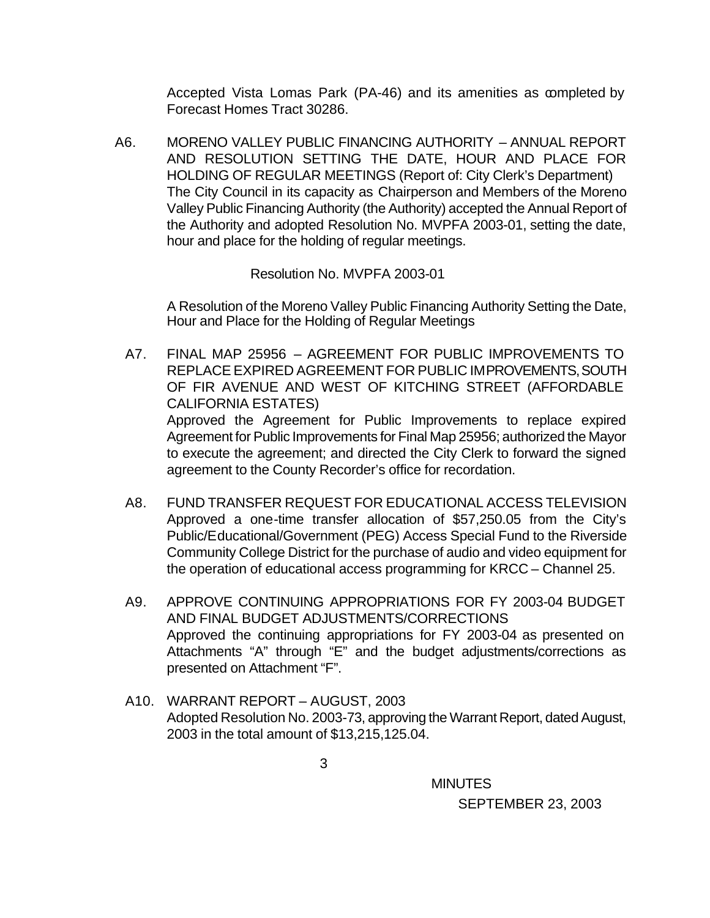Accepted Vista Lomas Park (PA-46) and its amenities as completed by Forecast Homes Tract 30286.

A6. MORENO VALLEY PUBLIC FINANCING AUTHORITY – ANNUAL REPORT AND RESOLUTION SETTING THE DATE, HOUR AND PLACE FOR HOLDING OF REGULAR MEETINGS (Report of: City Clerk's Department) The City Council in its capacity as Chairperson and Members of the Moreno Valley Public Financing Authority (the Authority) accepted the Annual Report of the Authority and adopted Resolution No. MVPFA 2003-01, setting the date, hour and place for the holding of regular meetings.

Resolution No. MVPFA 2003-01

A Resolution of the Moreno Valley Public Financing Authority Setting the Date, Hour and Place for the Holding of Regular Meetings

- A7. FINAL MAP 25956 AGREEMENT FOR PUBLIC IMPROVEMENTS TO REPLACE EXPIRED AGREEMENT FOR PUBLIC IMPROVEMENTS, SOUTH OF FIR AVENUE AND WEST OF KITCHING STREET (AFFORDABLE CALIFORNIA ESTATES) Approved the Agreement for Public Improvements to replace expired Agreement for Public Improvements for Final Map 25956; authorized the Mayor to execute the agreement; and directed the City Clerk to forward the signed agreement to the County Recorder's office for recordation.
- A8. FUND TRANSFER REQUEST FOR EDUCATIONAL ACCESS TELEVISION Approved a one-time transfer allocation of \$57,250.05 from the City's Public/Educational/Government (PEG) Access Special Fund to the Riverside Community College District for the purchase of audio and video equipment for the operation of educational access programming for KRCC – Channel 25.
- A9. APPROVE CONTINUING APPROPRIATIONS FOR FY 2003-04 BUDGET AND FINAL BUDGET ADJUSTMENTS/CORRECTIONS Approved the continuing appropriations for FY 2003-04 as presented on Attachments "A" through "E" and the budget adjustments/corrections as presented on Attachment "F".
- A10. WARRANT REPORT AUGUST, 2003 Adopted Resolution No. 2003-73, approving the Warrant Report, dated August, 2003 in the total amount of \$13,215,125.04.

3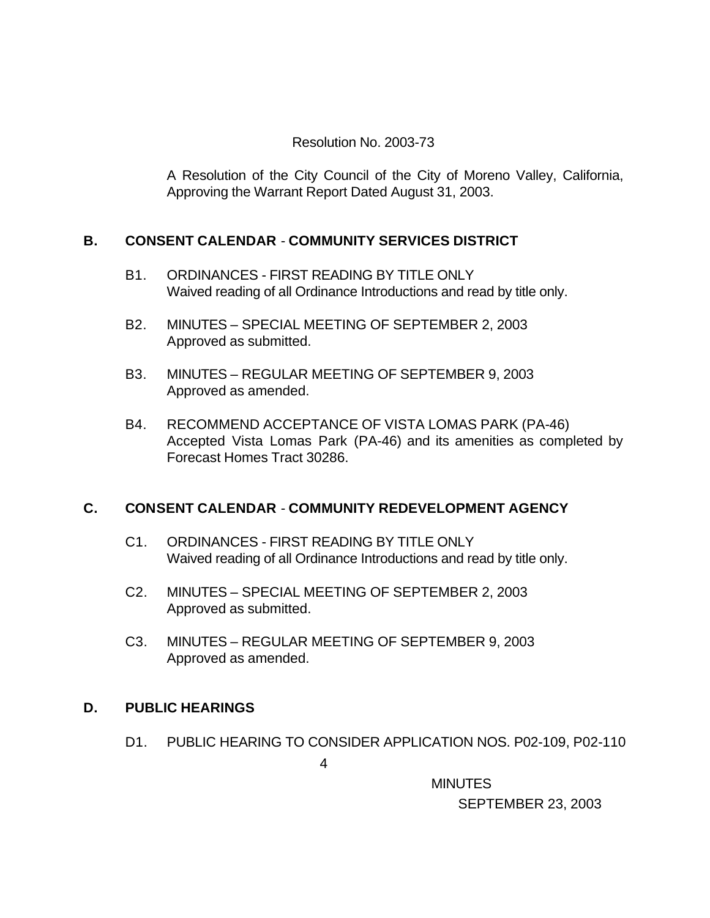# Resolution No. 2003-73

A Resolution of the City Council of the City of Moreno Valley, California, Approving the Warrant Report Dated August 31, 2003.

# **B. CONSENT CALENDAR** - **COMMUNITY SERVICES DISTRICT**

- B1. ORDINANCES FIRST READING BY TITLE ONLY Waived reading of all Ordinance Introductions and read by title only.
- B2. MINUTES SPECIAL MEETING OF SEPTEMBER 2, 2003 Approved as submitted.
- B3. MINUTES REGULAR MEETING OF SEPTEMBER 9, 2003 Approved as amended.
- B4. RECOMMEND ACCEPTANCE OF VISTA LOMAS PARK (PA-46) Accepted Vista Lomas Park (PA-46) and its amenities as completed by Forecast Homes Tract 30286.

# **C. CONSENT CALENDAR** - **COMMUNITY REDEVELOPMENT AGENCY**

- C1. ORDINANCES FIRST READING BY TITLE ONLY Waived reading of all Ordinance Introductions and read by title only.
- C2. MINUTES SPECIAL MEETING OF SEPTEMBER 2, 2003 Approved as submitted.
- C3. MINUTES REGULAR MEETING OF SEPTEMBER 9, 2003 Approved as amended.

# **D. PUBLIC HEARINGS**

D1. PUBLIC HEARING TO CONSIDER APPLICATION NOS. P02-109, P02-110

4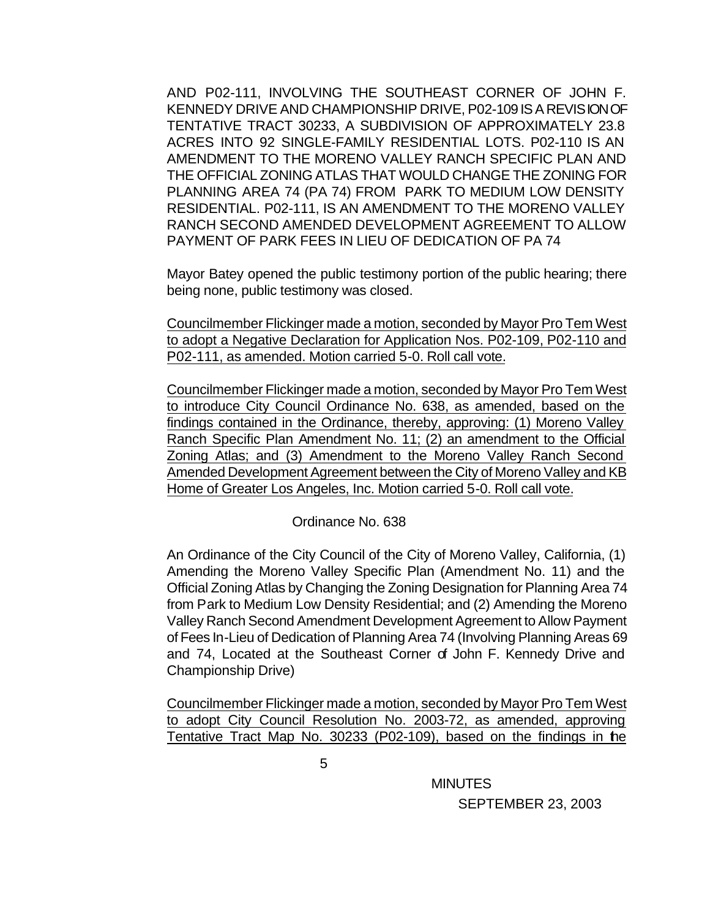AND P02-111, INVOLVING THE SOUTHEAST CORNER OF JOHN F. KENNEDY DRIVE AND CHAMPIONSHIP DRIVE, P02-109 IS A REVISION OF TENTATIVE TRACT 30233, A SUBDIVISION OF APPROXIMATELY 23.8 ACRES INTO 92 SINGLE-FAMILY RESIDENTIAL LOTS. P02-110 IS AN AMENDMENT TO THE MORENO VALLEY RANCH SPECIFIC PLAN AND THE OFFICIAL ZONING ATLAS THAT WOULD CHANGE THE ZONING FOR PLANNING AREA 74 (PA 74) FROM PARK TO MEDIUM LOW DENSITY RESIDENTIAL. P02-111, IS AN AMENDMENT TO THE MORENO VALLEY RANCH SECOND AMENDED DEVELOPMENT AGREEMENT TO ALLOW PAYMENT OF PARK FEES IN LIEU OF DEDICATION OF PA 74

Mayor Batey opened the public testimony portion of the public hearing; there being none, public testimony was closed.

Councilmember Flickinger made a motion, seconded by Mayor Pro Tem West to adopt a Negative Declaration for Application Nos. P02-109, P02-110 and P02-111, as amended. Motion carried 5-0. Roll call vote.

Councilmember Flickinger made a motion, seconded by Mayor Pro Tem West to introduce City Council Ordinance No. 638, as amended, based on the findings contained in the Ordinance, thereby, approving: (1) Moreno Valley Ranch Specific Plan Amendment No. 11; (2) an amendment to the Official Zoning Atlas; and (3) Amendment to the Moreno Valley Ranch Second Amended Development Agreement between the City of Moreno Valley and KB Home of Greater Los Angeles, Inc. Motion carried 5-0. Roll call vote.

#### Ordinance No. 638

An Ordinance of the City Council of the City of Moreno Valley, California, (1) Amending the Moreno Valley Specific Plan (Amendment No. 11) and the Official Zoning Atlas by Changing the Zoning Designation for Planning Area 74 from Park to Medium Low Density Residential; and (2) Amending the Moreno Valley Ranch Second Amendment Development Agreement to Allow Payment of Fees In-Lieu of Dedication of Planning Area 74 (Involving Planning Areas 69 and 74, Located at the Southeast Corner of John F. Kennedy Drive and Championship Drive)

Councilmember Flickinger made a motion, seconded by Mayor Pro Tem West to adopt City Council Resolution No. 2003-72, as amended, approving Tentative Tract Map No. 30233 (P02-109), based on the findings in the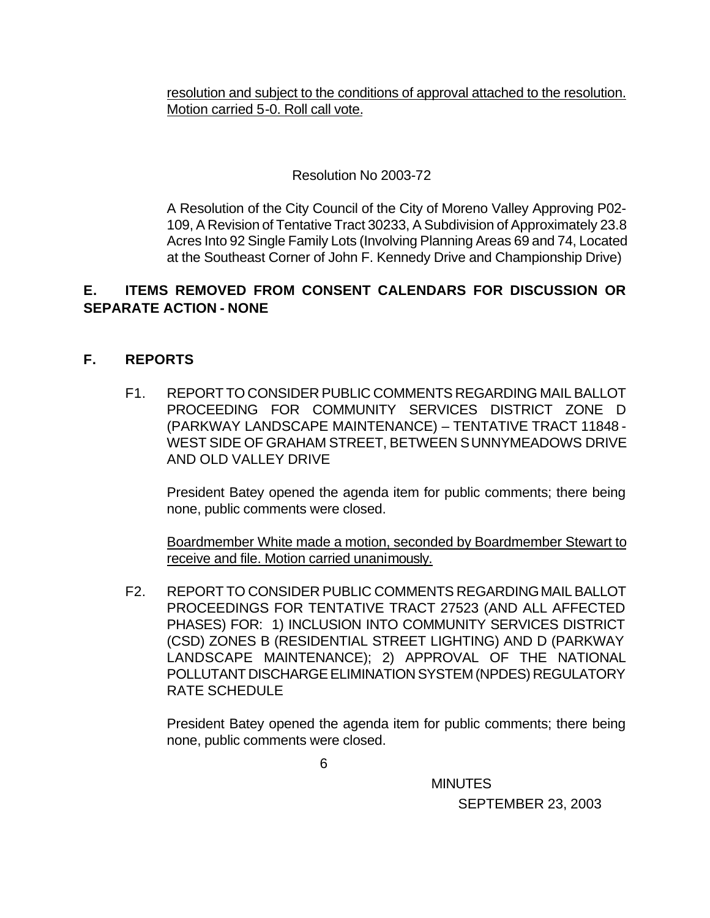resolution and subject to the conditions of approval attached to the resolution. Motion carried 5-0. Roll call vote.

# Resolution No 2003-72

A Resolution of the City Council of the City of Moreno Valley Approving P02- 109, A Revision of Tentative Tract 30233, A Subdivision of Approximately 23.8 Acres Into 92 Single Family Lots (Involving Planning Areas 69 and 74, Located at the Southeast Corner of John F. Kennedy Drive and Championship Drive)

# **E. ITEMS REMOVED FROM CONSENT CALENDARS FOR DISCUSSION OR SEPARATE ACTION - NONE**

# **F. REPORTS**

F1. REPORT TO CONSIDER PUBLIC COMMENTS REGARDING MAIL BALLOT PROCEEDING FOR COMMUNITY SERVICES DISTRICT ZONE D (PARKWAY LANDSCAPE MAINTENANCE) – TENTATIVE TRACT 11848 - WEST SIDE OF GRAHAM STREET, BETWEEN SUNNYMEADOWS DRIVE AND OLD VALLEY DRIVE

President Batey opened the agenda item for public comments; there being none, public comments were closed.

Boardmember White made a motion, seconded by Boardmember Stewart to receive and file. Motion carried unanimously.

F2. REPORT TO CONSIDER PUBLIC COMMENTS REGARDING MAIL BALLOT PROCEEDINGS FOR TENTATIVE TRACT 27523 (AND ALL AFFECTED PHASES) FOR: 1) INCLUSION INTO COMMUNITY SERVICES DISTRICT (CSD) ZONES B (RESIDENTIAL STREET LIGHTING) AND D (PARKWAY LANDSCAPE MAINTENANCE); 2) APPROVAL OF THE NATIONAL POLLUTANT DISCHARGE ELIMINATION SYSTEM (NPDES) REGULATORY RATE SCHEDULE

President Batey opened the agenda item for public comments; there being none, public comments were closed.

 $\overline{6}$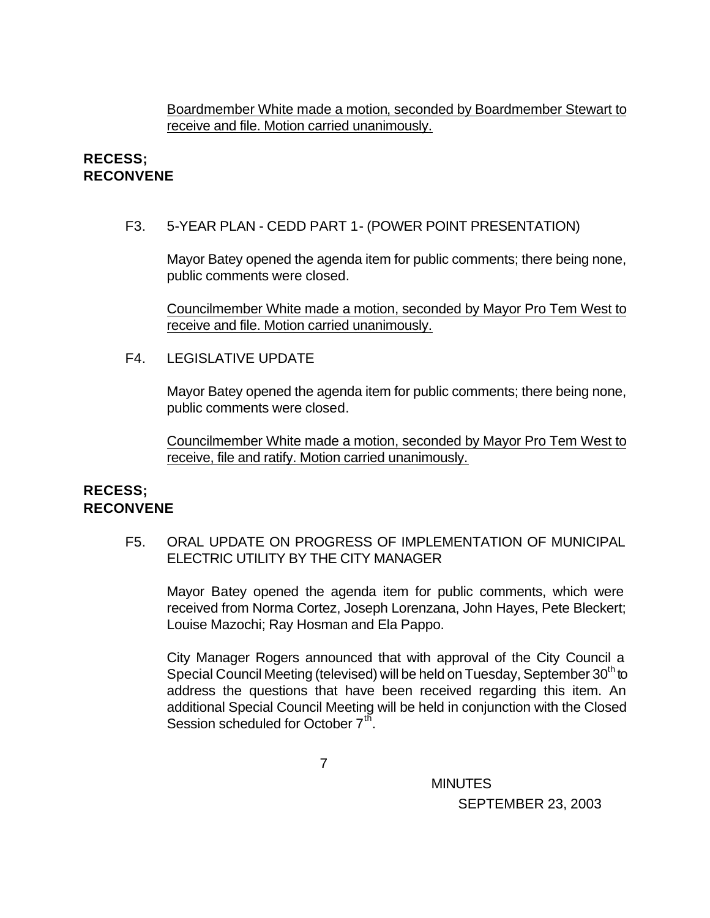Boardmember White made a motion, seconded by Boardmember Stewart to receive and file. Motion carried unanimously.

### **RECESS; RECONVENE**

#### F3. 5-YEAR PLAN - CEDD PART 1- (POWER POINT PRESENTATION)

Mayor Batey opened the agenda item for public comments; there being none, public comments were closed.

Councilmember White made a motion, seconded by Mayor Pro Tem West to receive and file. Motion carried unanimously.

### F4. LEGISLATIVE UPDATE

Mayor Batey opened the agenda item for public comments; there being none, public comments were closed.

Councilmember White made a motion, seconded by Mayor Pro Tem West to receive, file and ratify. Motion carried unanimously.

#### **RECESS; RECONVENE**

F5. ORAL UPDATE ON PROGRESS OF IMPLEMENTATION OF MUNICIPAL ELECTRIC UTILITY BY THE CITY MANAGER

Mayor Batey opened the agenda item for public comments, which were received from Norma Cortez, Joseph Lorenzana, John Hayes, Pete Bleckert; Louise Mazochi; Ray Hosman and Ela Pappo.

City Manager Rogers announced that with approval of the City Council a Special Council Meeting (televised) will be held on Tuesday, September 30<sup>th</sup> to address the questions that have been received regarding this item. An additional Special Council Meeting will be held in conjunction with the Closed Session scheduled for October  $7<sup>th</sup>$ .

7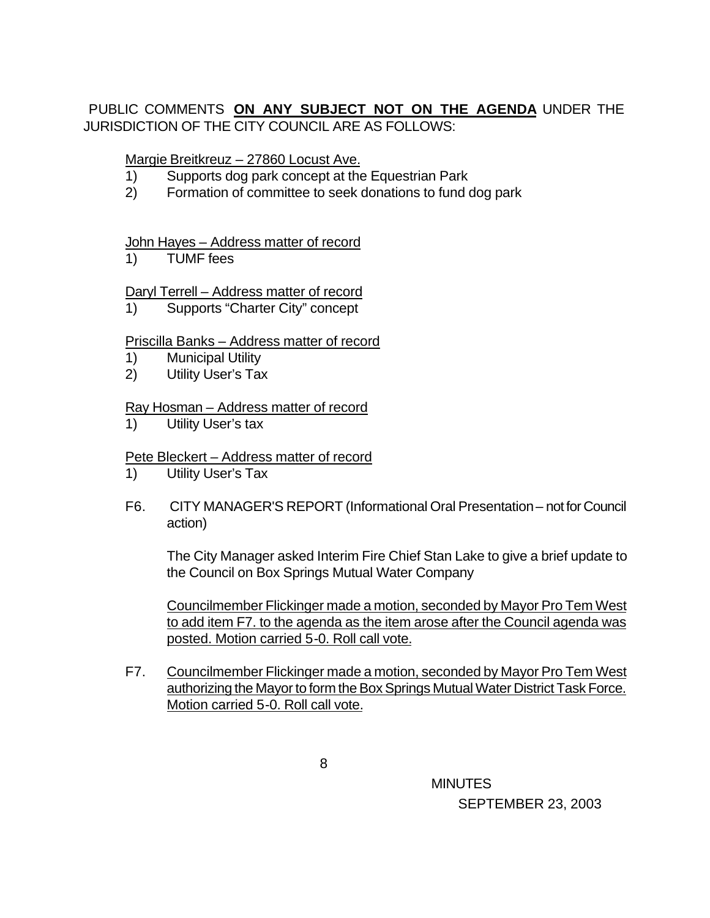# PUBLIC COMMENTS **ON ANY SUBJECT NOT ON THE AGENDA** UNDER THE JURISDICTION OF THE CITY COUNCIL ARE AS FOLLOWS:

### Margie Breitkreuz – 27860 Locust Ave.

- 1) Supports dog park concept at the Equestrian Park
- 2) Formation of committee to seek donations to fund dog park

### John Hayes – Address matter of record

1) TUMF fees

### Daryl Terrell – Address matter of record

1) Supports "Charter City" concept

### Priscilla Banks – Address matter of record

- 1) Municipal Utility
- 2) Utility User's Tax

### Ray Hosman – Address matter of record

1) Utility User's tax

### Pete Bleckert – Address matter of record

- 1) Utility User's Tax
- F6. CITY MANAGER'S REPORT (Informational Oral Presentation not for Council action)

The City Manager asked Interim Fire Chief Stan Lake to give a brief update to the Council on Box Springs Mutual Water Company

Councilmember Flickinger made a motion, seconded by Mayor Pro Tem West to add item F7. to the agenda as the item arose after the Council agenda was posted. Motion carried 5-0. Roll call vote.

F7. Councilmember Flickinger made a motion, seconded by Mayor Pro Tem West authorizing the Mayor to form the Box Springs Mutual Water District Task Force. Motion carried 5-0. Roll call vote.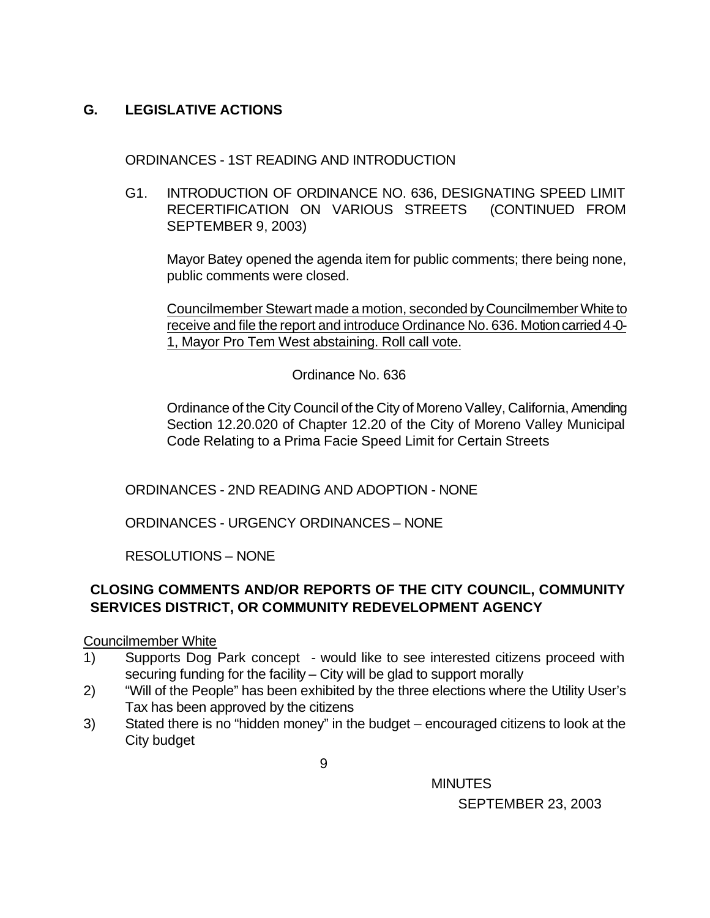# **G. LEGISLATIVE ACTIONS**

ORDINANCES - 1ST READING AND INTRODUCTION

G1. INTRODUCTION OF ORDINANCE NO. 636, DESIGNATING SPEED LIMIT RECERTIFICATION ON VARIOUS STREETS (CONTINUED FROM SEPTEMBER 9, 2003)

Mayor Batey opened the agenda item for public comments; there being none, public comments were closed.

Councilmember Stewart made a motion, seconded by Councilmember White to receive and file the report and introduce Ordinance No. 636. Motion carried 4-0- 1, Mayor Pro Tem West abstaining. Roll call vote.

Ordinance No. 636

Ordinance of the City Council of the City of Moreno Valley, California, Amending Section 12.20.020 of Chapter 12.20 of the City of Moreno Valley Municipal Code Relating to a Prima Facie Speed Limit for Certain Streets

ORDINANCES - 2ND READING AND ADOPTION - NONE

ORDINANCES - URGENCY ORDINANCES – NONE

RESOLUTIONS – NONE

# **CLOSING COMMENTS AND/OR REPORTS OF THE CITY COUNCIL, COMMUNITY SERVICES DISTRICT, OR COMMUNITY REDEVELOPMENT AGENCY**

Councilmember White

- 1) Supports Dog Park concept would like to see interested citizens proceed with securing funding for the facility – City will be glad to support morally
- 2) "Will of the People" has been exhibited by the three elections where the Utility User's Tax has been approved by the citizens
- 3) Stated there is no "hidden money" in the budget encouraged citizens to look at the City budget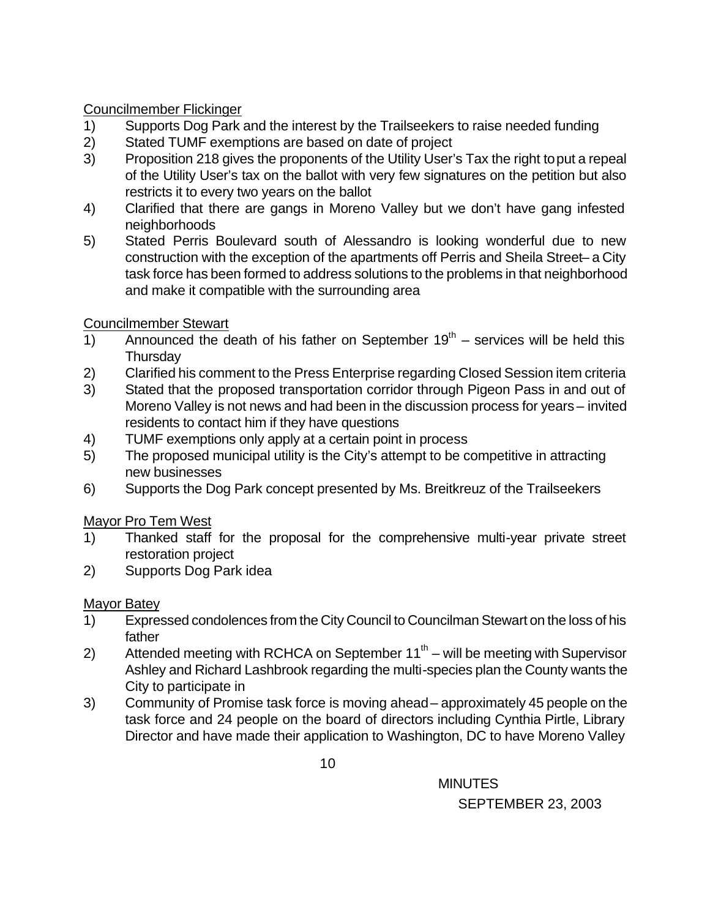# Councilmember Flickinger

- 1) Supports Dog Park and the interest by the Trailseekers to raise needed funding
- 2) Stated TUMF exemptions are based on date of project
- 3) Proposition 218 gives the proponents of the Utility User's Tax the right to put a repeal of the Utility User's tax on the ballot with very few signatures on the petition but also restricts it to every two years on the ballot
- 4) Clarified that there are gangs in Moreno Valley but we don't have gang infested neighborhoods
- 5) Stated Perris Boulevard south of Alessandro is looking wonderful due to new construction with the exception of the apartments off Perris and Sheila Street– a City task force has been formed to address solutions to the problems in that neighborhood and make it compatible with the surrounding area

# Councilmember Stewart

- 1) Announced the death of his father on September  $19<sup>th</sup>$  services will be held this **Thursday**
- 2) Clarified his comment to the Press Enterprise regarding Closed Session item criteria
- 3) Stated that the proposed transportation corridor through Pigeon Pass in and out of Moreno Valley is not news and had been in the discussion process for years – invited residents to contact him if they have questions
- 4) TUMF exemptions only apply at a certain point in process
- 5) The proposed municipal utility is the City's attempt to be competitive in attracting new businesses
- 6) Supports the Dog Park concept presented by Ms. Breitkreuz of the Trailseekers

# Mayor Pro Tem West

- 1) Thanked staff for the proposal for the comprehensive multi-year private street restoration project
- 2) Supports Dog Park idea

# Mayor Batey

- 1) Expressed condolences from the City Council to Councilman Stewart on the loss of his father
- 2) Attended meeting with RCHCA on September  $11<sup>th</sup>$  will be meeting with Supervisor Ashley and Richard Lashbrook regarding the multi-species plan the County wants the City to participate in
- 3) Community of Promise task force is moving ahead approximately 45 people on the task force and 24 people on the board of directors including Cynthia Pirtle, Library Director and have made their application to Washington, DC to have Moreno Valley